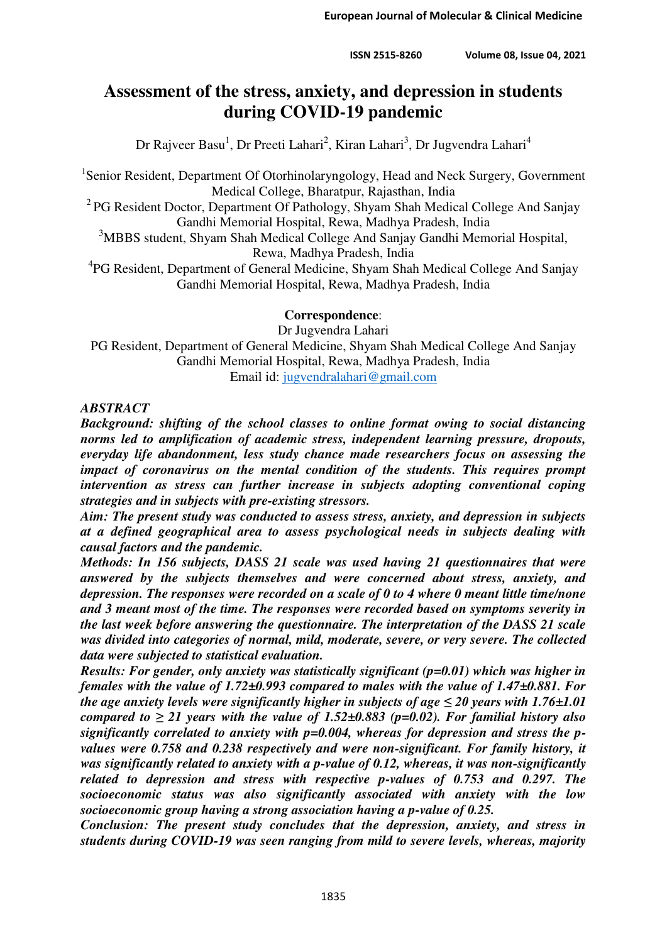# **Assessment of the stress, anxiety, and depression in students during COVID-19 pandemic**

Dr Rajveer Basu<sup>1</sup>, Dr Preeti Lahari<sup>2</sup>, Kiran Lahari<sup>3</sup>, Dr Jugvendra Lahari<sup>4</sup>

<sup>1</sup>Senior Resident, Department Of Otorhinolaryngology, Head and Neck Surgery, Government Medical College, Bharatpur, Rajasthan, India

<sup>2</sup> PG Resident Doctor, Department Of Pathology, Shyam Shah Medical College And Sanjay Gandhi Memorial Hospital, Rewa, Madhya Pradesh, India

<sup>3</sup>MBBS student, Shyam Shah Medical College And Sanjay Gandhi Memorial Hospital, Rewa, Madhya Pradesh, India

<sup>4</sup>PG Resident, Department of General Medicine, Shyam Shah Medical College And Sanjay Gandhi Memorial Hospital, Rewa, Madhya Pradesh, India

## **Correspondence**:

Dr Jugvendra Lahari PG Resident, Department of General Medicine, Shyam Shah Medical College And Sanjay Gandhi Memorial Hospital, Rewa, Madhya Pradesh, India Email id: [jugvendralahari@gmail.com](mailto:jugvendralahari@gmail.com)

#### *ABSTRACT*

*Background: shifting of the school classes to online format owing to social distancing norms led to amplification of academic stress, independent learning pressure, dropouts, everyday life abandonment, less study chance made researchers focus on assessing the impact of coronavirus on the mental condition of the students. This requires prompt intervention as stress can further increase in subjects adopting conventional coping strategies and in subjects with pre-existing stressors.* 

*Aim: The present study was conducted to assess stress, anxiety, and depression in subjects at a defined geographical area to assess psychological needs in subjects dealing with causal factors and the pandemic.* 

*Methods: In 156 subjects, DASS 21 scale was used having 21 questionnaires that were answered by the subjects themselves and were concerned about stress, anxiety, and depression. The responses were recorded on a scale of 0 to 4 where 0 meant little time/none and 3 meant most of the time. The responses were recorded based on symptoms severity in the last week before answering the questionnaire. The interpretation of the DASS 21 scale was divided into categories of normal, mild, moderate, severe, or very severe. The collected data were subjected to statistical evaluation.* 

*Results: For gender, only anxiety was statistically significant (p=0.01) which was higher in females with the value of 1.72±0.993 compared to males with the value of 1.47±0.881. For the age anxiety levels were significantly higher in subjects of age*  $\leq 20$  *years with 1.76* $\pm$ *1.01 compared to*  $\geq$  21 years with the value of 1.52 $\pm$ 0.883 (p=0.02). For familial history also *significantly correlated to anxiety with p=0.004, whereas for depression and stress the pvalues were 0.758 and 0.238 respectively and were non-significant. For family history, it was significantly related to anxiety with a p-value of 0.12, whereas, it was non-significantly related to depression and stress with respective p-values of 0.753 and 0.297. The socioeconomic status was also significantly associated with anxiety with the low socioeconomic group having a strong association having a p-value of 0.25.* 

*Conclusion: The present study concludes that the depression, anxiety, and stress in students during COVID-19 was seen ranging from mild to severe levels, whereas, majority*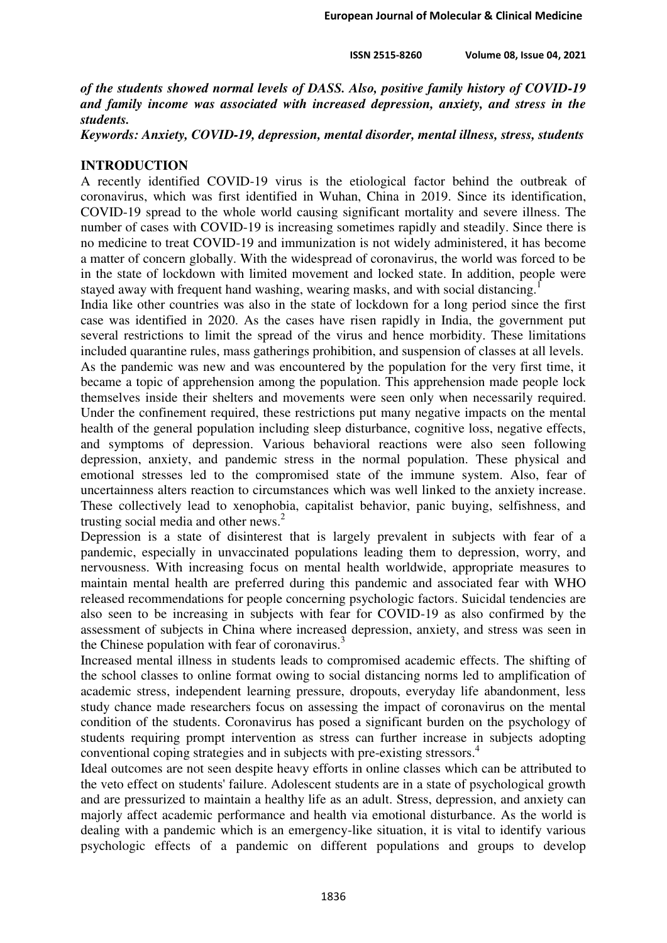**ISSN 2515-8260 Volume 08, Issue 04, 2021**

*of the students showed normal levels of DASS. Also, positive family history of COVID-19 and family income was associated with increased depression, anxiety, and stress in the students.* 

*Keywords: Anxiety, COVID-19, depression, mental disorder, mental illness, stress, students*

#### **INTRODUCTION**

A recently identified COVID-19 virus is the etiological factor behind the outbreak of coronavirus, which was first identified in Wuhan, China in 2019. Since its identification, COVID-19 spread to the whole world causing significant mortality and severe illness. The number of cases with COVID-19 is increasing sometimes rapidly and steadily. Since there is no medicine to treat COVID-19 and immunization is not widely administered, it has become a matter of concern globally. With the widespread of coronavirus, the world was forced to be in the state of lockdown with limited movement and locked state. In addition, people were stayed away with frequent hand washing, wearing masks, and with social distancing.

India like other countries was also in the state of lockdown for a long period since the first case was identified in 2020. As the cases have risen rapidly in India, the government put several restrictions to limit the spread of the virus and hence morbidity. These limitations included quarantine rules, mass gatherings prohibition, and suspension of classes at all levels. As the pandemic was new and was encountered by the population for the very first time, it became a topic of apprehension among the population. This apprehension made people lock themselves inside their shelters and movements were seen only when necessarily required. Under the confinement required, these restrictions put many negative impacts on the mental health of the general population including sleep disturbance, cognitive loss, negative effects, and symptoms of depression. Various behavioral reactions were also seen following depression, anxiety, and pandemic stress in the normal population. These physical and emotional stresses led to the compromised state of the immune system. Also, fear of uncertainness alters reaction to circumstances which was well linked to the anxiety increase. These collectively lead to xenophobia, capitalist behavior, panic buying, selfishness, and trusting social media and other news.<sup>2</sup>

Depression is a state of disinterest that is largely prevalent in subjects with fear of a pandemic, especially in unvaccinated populations leading them to depression, worry, and nervousness. With increasing focus on mental health worldwide, appropriate measures to maintain mental health are preferred during this pandemic and associated fear with WHO released recommendations for people concerning psychologic factors. Suicidal tendencies are also seen to be increasing in subjects with fear for COVID-19 as also confirmed by the assessment of subjects in China where increased depression, anxiety, and stress was seen in the Chinese population with fear of coronavirus.<sup>3</sup>

Increased mental illness in students leads to compromised academic effects. The shifting of the school classes to online format owing to social distancing norms led to amplification of academic stress, independent learning pressure, dropouts, everyday life abandonment, less study chance made researchers focus on assessing the impact of coronavirus on the mental condition of the students. Coronavirus has posed a significant burden on the psychology of students requiring prompt intervention as stress can further increase in subjects adopting conventional coping strategies and in subjects with pre-existing stressors.<sup>4</sup>

Ideal outcomes are not seen despite heavy efforts in online classes which can be attributed to the veto effect on students' failure. Adolescent students are in a state of psychological growth and are pressurized to maintain a healthy life as an adult. Stress, depression, and anxiety can majorly affect academic performance and health via emotional disturbance. As the world is dealing with a pandemic which is an emergency-like situation, it is vital to identify various psychologic effects of a pandemic on different populations and groups to develop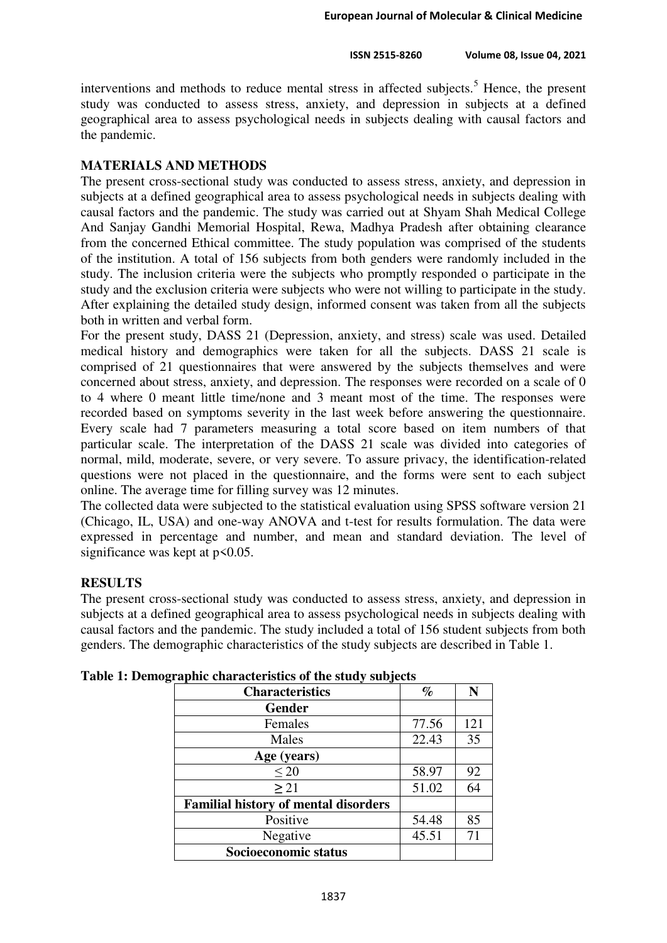interventions and methods to reduce mental stress in affected subjects.<sup>5</sup> Hence, the present study was conducted to assess stress, anxiety, and depression in subjects at a defined geographical area to assess psychological needs in subjects dealing with causal factors and the pandemic.

## **MATERIALS AND METHODS**

The present cross-sectional study was conducted to assess stress, anxiety, and depression in subjects at a defined geographical area to assess psychological needs in subjects dealing with causal factors and the pandemic. The study was carried out at Shyam Shah Medical College And Sanjay Gandhi Memorial Hospital, Rewa, Madhya Pradesh after obtaining clearance from the concerned Ethical committee. The study population was comprised of the students of the institution. A total of 156 subjects from both genders were randomly included in the study. The inclusion criteria were the subjects who promptly responded o participate in the study and the exclusion criteria were subjects who were not willing to participate in the study. After explaining the detailed study design, informed consent was taken from all the subjects both in written and verbal form.

For the present study, DASS 21 (Depression, anxiety, and stress) scale was used. Detailed medical history and demographics were taken for all the subjects. DASS 21 scale is comprised of 21 questionnaires that were answered by the subjects themselves and were concerned about stress, anxiety, and depression. The responses were recorded on a scale of 0 to 4 where 0 meant little time/none and 3 meant most of the time. The responses were recorded based on symptoms severity in the last week before answering the questionnaire. Every scale had 7 parameters measuring a total score based on item numbers of that particular scale. The interpretation of the DASS 21 scale was divided into categories of normal, mild, moderate, severe, or very severe. To assure privacy, the identification-related questions were not placed in the questionnaire, and the forms were sent to each subject online. The average time for filling survey was 12 minutes.

The collected data were subjected to the statistical evaluation using SPSS software version 21 (Chicago, IL, USA) and one-way ANOVA and t-test for results formulation. The data were expressed in percentage and number, and mean and standard deviation. The level of significance was kept at  $p \le 0.05$ .

# **RESULTS**

The present cross-sectional study was conducted to assess stress, anxiety, and depression in subjects at a defined geographical area to assess psychological needs in subjects dealing with causal factors and the pandemic. The study included a total of 156 student subjects from both genders. The demographic characteristics of the study subjects are described in Table 1.

| <b>Characteristics</b>                      | $\%$  | N   |
|---------------------------------------------|-------|-----|
| <b>Gender</b>                               |       |     |
| Females                                     | 77.56 | 121 |
| Males                                       | 22.43 | 35  |
| Age (years)                                 |       |     |
| $\leq 20$                                   | 58.97 | 92  |
| $\geq$ 21                                   | 51.02 | 64  |
| <b>Familial history of mental disorders</b> |       |     |
| Positive                                    | 54.48 | 85  |
| Negative                                    | 45.51 | 71  |
| Socioeconomic status                        |       |     |

|  |  | Table 1: Demographic characteristics of the study subjects |  |  |
|--|--|------------------------------------------------------------|--|--|
|  |  |                                                            |  |  |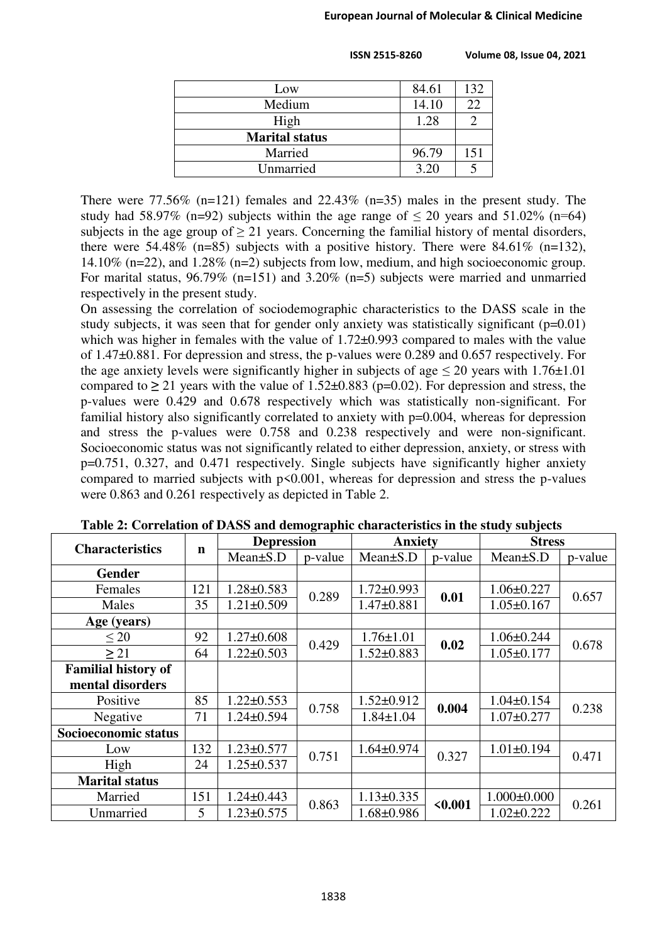| Low                   | 84.61 | 132 |
|-----------------------|-------|-----|
| Medium                | 14.10 | 22  |
| High                  | 1.28  |     |
| <b>Marital status</b> |       |     |
| Married               | 96.79 | 151 |
| Unmarried             | 3.20  |     |

 **ISSN 2515-8260 Volume 08, Issue 04, 2021**

There were  $77.56\%$  (n=121) females and  $22.43\%$  (n=35) males in the present study. The study had 58.97% (n=92) subjects within the age range of  $\leq$  20 years and 51.02% (n=64) subjects in the age group of  $> 21$  years. Concerning the familial history of mental disorders, there were 54.48% (n=85) subjects with a positive history. There were 84.61% (n=132), 14.10% (n=22), and 1.28% (n=2) subjects from low, medium, and high socioeconomic group. For marital status, 96.79% (n=151) and 3.20% (n=5) subjects were married and unmarried respectively in the present study.

On assessing the correlation of sociodemographic characteristics to the DASS scale in the study subjects, it was seen that for gender only anxiety was statistically significant  $(p=0.01)$ which was higher in females with the value of  $1.72\pm0.993$  compared to males with the value of 1.47±0.881. For depression and stress, the p-values were 0.289 and 0.657 respectively. For the age anxiety levels were significantly higher in subjects of age  $\leq 20$  years with 1.76 $\pm$ 1.01 compared to  $\geq 21$  years with the value of 1.52 $\pm$ 0.883 (p=0.02). For depression and stress, the p-values were 0.429 and 0.678 respectively which was statistically non-significant. For familial history also significantly correlated to anxiety with  $p=0.004$ , whereas for depression and stress the p-values were 0.758 and 0.238 respectively and were non-significant. Socioeconomic status was not significantly related to either depression, anxiety, or stress with p=0.751, 0.327, and 0.471 respectively. Single subjects have significantly higher anxiety compared to married subjects with  $p<0.001$ , whereas for depression and stress the p-values were 0.863 and 0.261 respectively as depicted in Table 2.

| <b>Characteristics</b>     |             | <b>Depression</b> |         | <b>Anxiety</b>   |         | <b>Stress</b>     |         |
|----------------------------|-------------|-------------------|---------|------------------|---------|-------------------|---------|
|                            | $\mathbf n$ | $Mean \pm S.D$    | p-value | $Mean \pm S.D$   | p-value | $Mean \pm S.D$    | p-value |
| <b>Gender</b>              |             |                   |         |                  |         |                   |         |
| Females                    | 121         | $1.28 \pm 0.583$  | 0.289   | $1.72 \pm 0.993$ | 0.01    | $1.06 \pm 0.227$  | 0.657   |
| Males                      | 35          | $1.21 \pm 0.509$  |         | $1.47 \pm 0.881$ |         | $1.05 \pm 0.167$  |         |
| Age (years)                |             |                   |         |                  |         |                   |         |
| $\leq 20$                  | 92          | $1.27 \pm 0.608$  | 0.429   | $1.76 \pm 1.01$  | 0.02    | $1.06 \pm 0.244$  | 0.678   |
| $\geq$ 21                  | 64          | $1.22 \pm 0.503$  |         | $1.52 \pm 0.883$ |         | $1.05 \pm 0.177$  |         |
| <b>Familial history of</b> |             |                   |         |                  |         |                   |         |
| mental disorders           |             |                   |         |                  |         |                   |         |
| Positive                   | 85          | $.22 \pm 0.553$   | 0.758   | $1.52 \pm 0.912$ | 0.004   | $1.04 \pm 0.154$  | 0.238   |
| Negative                   | 71          | $1.24 \pm 0.594$  |         | $1.84 \pm 1.04$  |         | $1.07 \pm 0.277$  |         |
| Socioeconomic status       |             |                   |         |                  |         |                   |         |
| Low                        | 132         | $1.23 \pm 0.577$  | 0.751   | $1.64 \pm 0.974$ | 0.327   | $1.01 \pm 0.194$  | 0.471   |
| High                       | 24          | $1.25 \pm 0.537$  |         |                  |         |                   |         |
| <b>Marital status</b>      |             |                   |         |                  |         |                   |         |
| Married                    | 151         | $1.24 \pm 0.443$  | 0.863   | $1.13 \pm 0.335$ | < 0.001 | $1.000 \pm 0.000$ | 0.261   |
| Unmarried                  | 5           | $1.23 \pm 0.575$  |         | $1.68 \pm 0.986$ |         | $1.02 \pm 0.222$  |         |

|  | Table 2: Correlation of DASS and demographic characteristics in the study subjects |  |  |
|--|------------------------------------------------------------------------------------|--|--|
|  |                                                                                    |  |  |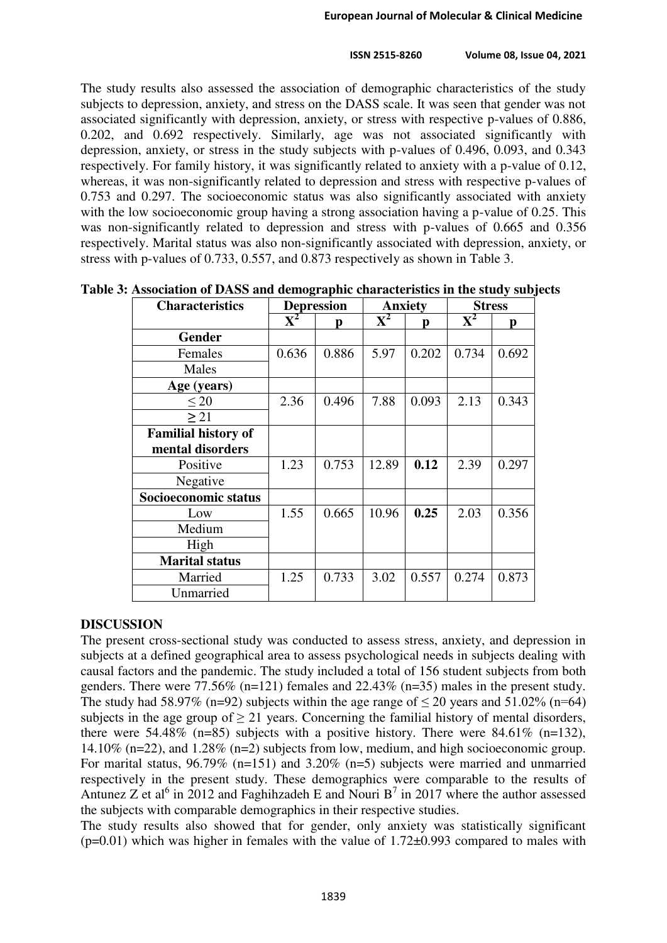The study results also assessed the association of demographic characteristics of the study subjects to depression, anxiety, and stress on the DASS scale. It was seen that gender was not associated significantly with depression, anxiety, or stress with respective p-values of 0.886, 0.202, and 0.692 respectively. Similarly, age was not associated significantly with depression, anxiety, or stress in the study subjects with p-values of 0.496, 0.093, and 0.343 respectively. For family history, it was significantly related to anxiety with a p-value of 0.12, whereas, it was non-significantly related to depression and stress with respective p-values of 0.753 and 0.297. The socioeconomic status was also significantly associated with anxiety with the low socioeconomic group having a strong association having a p-value of 0.25. This was non-significantly related to depression and stress with p-values of 0.665 and 0.356 respectively. Marital status was also non-significantly associated with depression, anxiety, or stress with p-values of 0.733, 0.557, and 0.873 respectively as shown in Table 3.

| <b>Characteristics</b>     | <b>Depression</b>         |       | <b>Anxiety</b> |       | <b>Stress</b>             |       |
|----------------------------|---------------------------|-------|----------------|-------|---------------------------|-------|
|                            | $\overline{\mathbf{X}^2}$ | р     | $\mathbf{X}^2$ | р     | $\overline{\mathbf{X}}^2$ | p     |
| <b>Gender</b>              |                           |       |                |       |                           |       |
| Females                    | 0.636                     | 0.886 | 5.97           | 0.202 | 0.734                     | 0.692 |
| Males                      |                           |       |                |       |                           |       |
| Age (years)                |                           |       |                |       |                           |       |
| < 20                       | 2.36                      | 0.496 | 7.88           | 0.093 | 2.13                      | 0.343 |
| $\geq$ 21                  |                           |       |                |       |                           |       |
| <b>Familial history of</b> |                           |       |                |       |                           |       |
| mental disorders           |                           |       |                |       |                           |       |
| Positive                   | 1.23                      | 0.753 | 12.89          | 0.12  | 2.39                      | 0.297 |
| Negative                   |                           |       |                |       |                           |       |
| Socioeconomic status       |                           |       |                |       |                           |       |
| Low                        | 1.55                      | 0.665 | 10.96          | 0.25  | 2.03                      | 0.356 |
| Medium                     |                           |       |                |       |                           |       |
| High                       |                           |       |                |       |                           |       |
| <b>Marital status</b>      |                           |       |                |       |                           |       |
| Married                    | 1.25                      | 0.733 | 3.02           | 0.557 | 0.274                     | 0.873 |
| Unmarried                  |                           |       |                |       |                           |       |

**Table 3: Association of DASS and demographic characteristics in the study subjects** 

# **DISCUSSION**

The present cross-sectional study was conducted to assess stress, anxiety, and depression in subjects at a defined geographical area to assess psychological needs in subjects dealing with causal factors and the pandemic. The study included a total of 156 student subjects from both genders. There were 77.56% (n=121) females and 22.43% (n=35) males in the present study. The study had 58.97% (n=92) subjects within the age range of  $\leq$  20 years and 51.02% (n=64) subjects in the age group of  $\geq$  21 years. Concerning the familial history of mental disorders, there were 54.48% (n=85) subjects with a positive history. There were  $84.61\%$  (n=132), 14.10% (n=22), and 1.28% (n=2) subjects from low, medium, and high socioeconomic group. For marital status, 96.79% (n=151) and 3.20% (n=5) subjects were married and unmarried respectively in the present study. These demographics were comparable to the results of Antunez Z et al<sup>6</sup> in 2012 and Faghihzadeh E and Nouri B<sup>7</sup> in 2017 where the author assessed the subjects with comparable demographics in their respective studies.

The study results also showed that for gender, only anxiety was statistically significant  $(p=0.01)$  which was higher in females with the value of 1.72 $\pm$ 0.993 compared to males with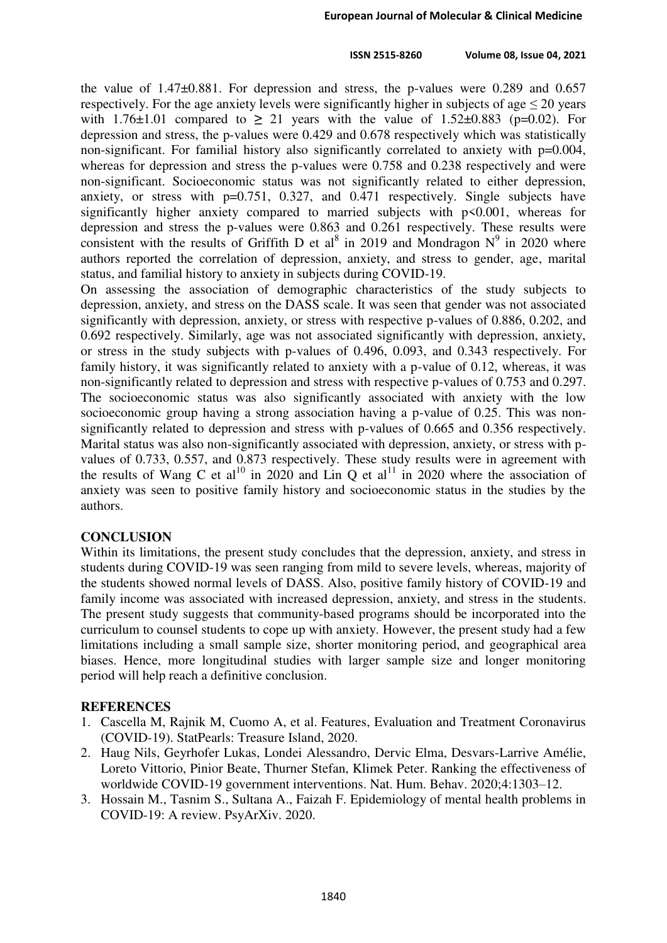the value of 1.47±0.881. For depression and stress, the p-values were 0.289 and 0.657 respectively. For the age anxiety levels were significantly higher in subjects of age  $\leq 20$  years with 1.76 $\pm$ 1.01 compared to  $\geq$  21 years with the value of 1.52 $\pm$ 0.883 (p=0.02). For depression and stress, the p-values were 0.429 and 0.678 respectively which was statistically non-significant. For familial history also significantly correlated to anxiety with p=0.004, whereas for depression and stress the p-values were 0.758 and 0.238 respectively and were non-significant. Socioeconomic status was not significantly related to either depression, anxiety, or stress with p=0.751, 0.327, and 0.471 respectively. Single subjects have significantly higher anxiety compared to married subjects with p<0.001, whereas for depression and stress the p-values were 0.863 and 0.261 respectively. These results were consistent with the results of Griffith D et al<sup>8</sup> in 2019 and Mondragon  $N^9$  in 2020 where authors reported the correlation of depression, anxiety, and stress to gender, age, marital status, and familial history to anxiety in subjects during COVID-19.

On assessing the association of demographic characteristics of the study subjects to depression, anxiety, and stress on the DASS scale. It was seen that gender was not associated significantly with depression, anxiety, or stress with respective p-values of 0.886, 0.202, and 0.692 respectively. Similarly, age was not associated significantly with depression, anxiety, or stress in the study subjects with p-values of 0.496, 0.093, and 0.343 respectively. For family history, it was significantly related to anxiety with a p-value of 0.12, whereas, it was non-significantly related to depression and stress with respective p-values of 0.753 and 0.297. The socioeconomic status was also significantly associated with anxiety with the low socioeconomic group having a strong association having a p-value of 0.25. This was nonsignificantly related to depression and stress with p-values of 0.665 and 0.356 respectively. Marital status was also non-significantly associated with depression, anxiety, or stress with pvalues of 0.733, 0.557, and 0.873 respectively. These study results were in agreement with the results of Wang C et al<sup>10</sup> in 2020 and Lin Q et al<sup>11</sup> in 2020 where the association of anxiety was seen to positive family history and socioeconomic status in the studies by the authors.

## **CONCLUSION**

Within its limitations, the present study concludes that the depression, anxiety, and stress in students during COVID-19 was seen ranging from mild to severe levels, whereas, majority of the students showed normal levels of DASS. Also, positive family history of COVID-19 and family income was associated with increased depression, anxiety, and stress in the students. The present study suggests that community-based programs should be incorporated into the curriculum to counsel students to cope up with anxiety. However, the present study had a few limitations including a small sample size, shorter monitoring period, and geographical area biases. Hence, more longitudinal studies with larger sample size and longer monitoring period will help reach a definitive conclusion.

## **REFERENCES**

- 1. Cascella M, Rajnik M, Cuomo A, et al. Features, Evaluation and Treatment Coronavirus (COVID-19). StatPearls: Treasure Island, 2020.
- 2. Haug Nils, Geyrhofer Lukas, Londei Alessandro, Dervic Elma, Desvars-Larrive Amélie, Loreto Vittorio, Pinior Beate, Thurner Stefan, Klimek Peter. Ranking the effectiveness of worldwide COVID-19 government interventions. Nat. Hum. Behav. 2020;4:1303–12.
- 3. Hossain M., Tasnim S., Sultana A., Faizah F. Epidemiology of mental health problems in COVID-19: A review. PsyArXiv. 2020.